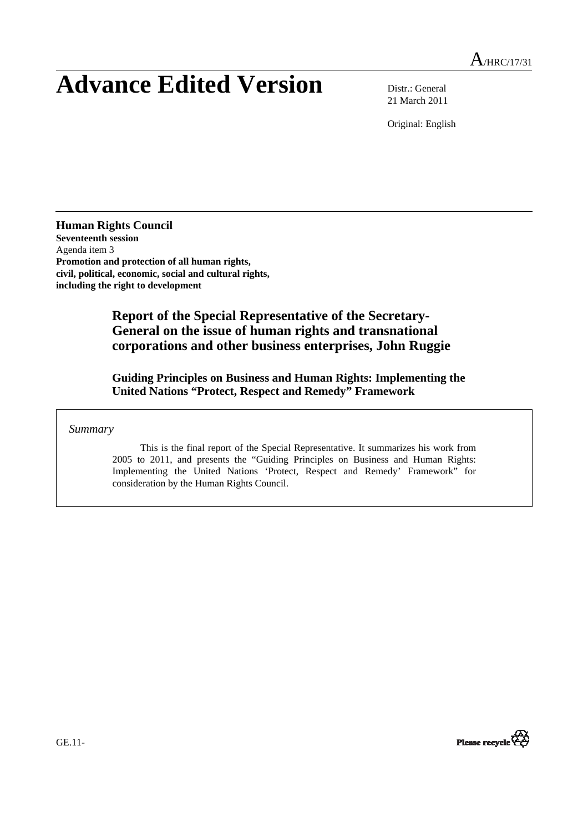# **Advance Edited Version** Distr.: General

21 March 2011

Original: English

**Human Rights Council Seventeenth session**  Agenda item 3 **Promotion and protection of all human rights, civil, political, economic, social and cultural rights, including the right to development** 

> **Report of the Special Representative of the Secretary-General on the issue of human rights and transnational corporations and other business enterprises, John Ruggie**

 **Guiding Principles on Business and Human Rights: Implementing the United Nations "Protect, Respect and Remedy" Framework** 

*Summary* 

 This is the final report of the Special Representative. It summarizes his work from 2005 to 2011, and presents the "Guiding Principles on Business and Human Rights: Implementing the United Nations 'Protect, Respect and Remedy' Framework" for consideration by the Human Rights Council.

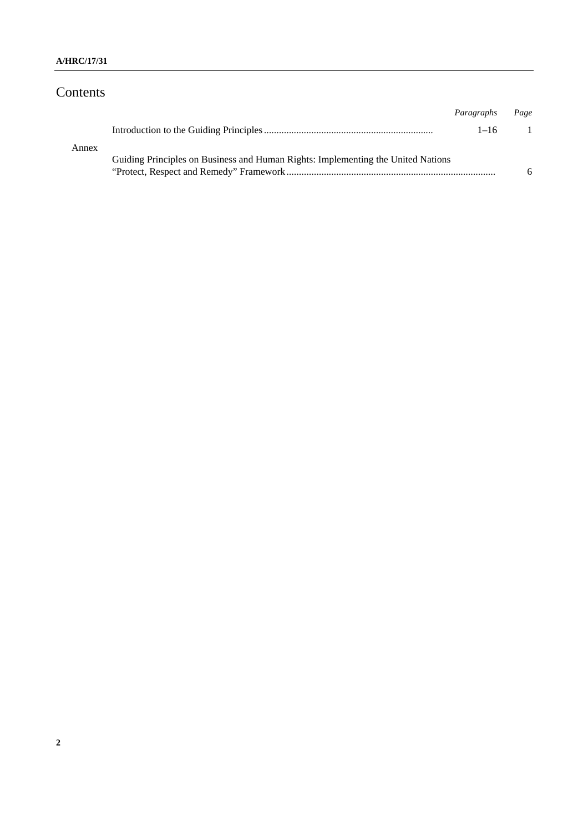## **A/HRC/17/31**

# Contents

|       |                                                                                  | Paragraphs | Page |
|-------|----------------------------------------------------------------------------------|------------|------|
| Annex |                                                                                  | $1 - 16$   |      |
|       | Guiding Principles on Business and Human Rights: Implementing the United Nations |            | 6    |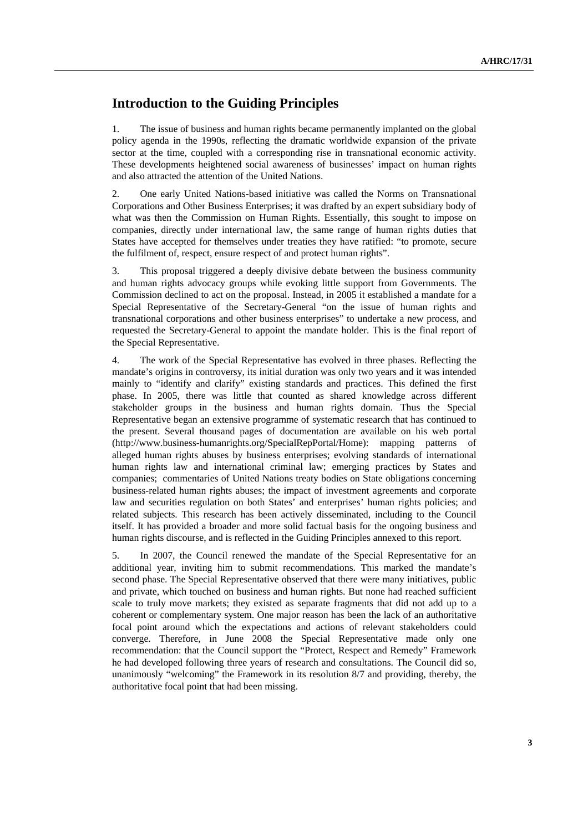# **Introduction to the Guiding Principles**

1. The issue of business and human rights became permanently implanted on the global policy agenda in the 1990s, reflecting the dramatic worldwide expansion of the private sector at the time, coupled with a corresponding rise in transnational economic activity. These developments heightened social awareness of businesses' impact on human rights and also attracted the attention of the United Nations.

2. One early United Nations-based initiative was called the Norms on Transnational Corporations and Other Business Enterprises; it was drafted by an expert subsidiary body of what was then the Commission on Human Rights. Essentially, this sought to impose on companies, directly under international law, the same range of human rights duties that States have accepted for themselves under treaties they have ratified: "to promote, secure the fulfilment of, respect, ensure respect of and protect human rights".

3. This proposal triggered a deeply divisive debate between the business community and human rights advocacy groups while evoking little support from Governments. The Commission declined to act on the proposal. Instead, in 2005 it established a mandate for a Special Representative of the Secretary-General "on the issue of human rights and transnational corporations and other business enterprises" to undertake a new process, and requested the Secretary-General to appoint the mandate holder. This is the final report of the Special Representative.

4. The work of the Special Representative has evolved in three phases. Reflecting the mandate's origins in controversy, its initial duration was only two years and it was intended mainly to "identify and clarify" existing standards and practices. This defined the first phase. In 2005, there was little that counted as shared knowledge across different stakeholder groups in the business and human rights domain. Thus the Special Representative began an extensive programme of systematic research that has continued to the present. Several thousand pages of documentation are available on his web portal (http://www.business-humanrights.org/SpecialRepPortal/Home): mapping patterns of alleged human rights abuses by business enterprises; evolving standards of international human rights law and international criminal law; emerging practices by States and companies; commentaries of United Nations treaty bodies on State obligations concerning business-related human rights abuses; the impact of investment agreements and corporate law and securities regulation on both States' and enterprises' human rights policies; and related subjects. This research has been actively disseminated, including to the Council itself. It has provided a broader and more solid factual basis for the ongoing business and human rights discourse, and is reflected in the Guiding Principles annexed to this report.

5. In 2007, the Council renewed the mandate of the Special Representative for an additional year, inviting him to submit recommendations. This marked the mandate's second phase. The Special Representative observed that there were many initiatives, public and private, which touched on business and human rights. But none had reached sufficient scale to truly move markets; they existed as separate fragments that did not add up to a coherent or complementary system. One major reason has been the lack of an authoritative focal point around which the expectations and actions of relevant stakeholders could converge. Therefore, in June 2008 the Special Representative made only one recommendation: that the Council support the "Protect, Respect and Remedy" Framework he had developed following three years of research and consultations. The Council did so, unanimously "welcoming" the Framework in its resolution 8/7 and providing, thereby, the authoritative focal point that had been missing.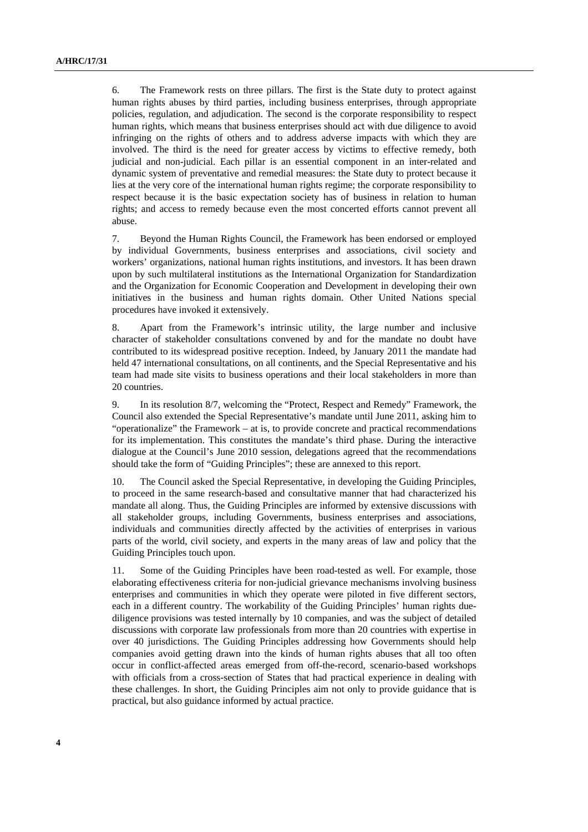6. The Framework rests on three pillars. The first is the State duty to protect against human rights abuses by third parties, including business enterprises, through appropriate policies, regulation, and adjudication. The second is the corporate responsibility to respect human rights, which means that business enterprises should act with due diligence to avoid infringing on the rights of others and to address adverse impacts with which they are involved. The third is the need for greater access by victims to effective remedy, both judicial and non-judicial. Each pillar is an essential component in an inter-related and dynamic system of preventative and remedial measures: the State duty to protect because it lies at the very core of the international human rights regime; the corporate responsibility to respect because it is the basic expectation society has of business in relation to human rights; and access to remedy because even the most concerted efforts cannot prevent all abuse.

7. Beyond the Human Rights Council, the Framework has been endorsed or employed by individual Governments, business enterprises and associations, civil society and workers' organizations, national human rights institutions, and investors. It has been drawn upon by such multilateral institutions as the International Organization for Standardization and the Organization for Economic Cooperation and Development in developing their own initiatives in the business and human rights domain. Other United Nations special procedures have invoked it extensively.

8. Apart from the Framework's intrinsic utility, the large number and inclusive character of stakeholder consultations convened by and for the mandate no doubt have contributed to its widespread positive reception. Indeed, by January 2011 the mandate had held 47 international consultations, on all continents, and the Special Representative and his team had made site visits to business operations and their local stakeholders in more than 20 countries.

9. In its resolution 8/7, welcoming the "Protect, Respect and Remedy" Framework, the Council also extended the Special Representative's mandate until June 2011, asking him to "operationalize" the Framework – at is, to provide concrete and practical recommendations for its implementation. This constitutes the mandate's third phase. During the interactive dialogue at the Council's June 2010 session, delegations agreed that the recommendations should take the form of "Guiding Principles"; these are annexed to this report.

10. The Council asked the Special Representative, in developing the Guiding Principles, to proceed in the same research-based and consultative manner that had characterized his mandate all along. Thus, the Guiding Principles are informed by extensive discussions with all stakeholder groups, including Governments, business enterprises and associations, individuals and communities directly affected by the activities of enterprises in various parts of the world, civil society, and experts in the many areas of law and policy that the Guiding Principles touch upon.

11. Some of the Guiding Principles have been road-tested as well. For example, those elaborating effectiveness criteria for non-judicial grievance mechanisms involving business enterprises and communities in which they operate were piloted in five different sectors, each in a different country. The workability of the Guiding Principles' human rights duediligence provisions was tested internally by 10 companies, and was the subject of detailed discussions with corporate law professionals from more than 20 countries with expertise in over 40 jurisdictions. The Guiding Principles addressing how Governments should help companies avoid getting drawn into the kinds of human rights abuses that all too often occur in conflict-affected areas emerged from off-the-record, scenario-based workshops with officials from a cross-section of States that had practical experience in dealing with these challenges. In short, the Guiding Principles aim not only to provide guidance that is practical, but also guidance informed by actual practice.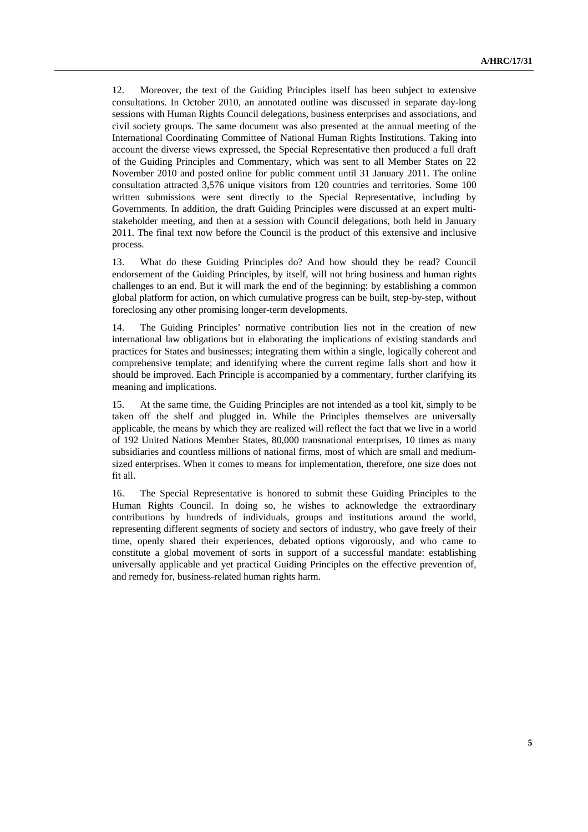12. Moreover, the text of the Guiding Principles itself has been subject to extensive consultations. In October 2010, an annotated outline was discussed in separate day-long sessions with Human Rights Council delegations, business enterprises and associations, and civil society groups. The same document was also presented at the annual meeting of the International Coordinating Committee of National Human Rights Institutions. Taking into account the diverse views expressed, the Special Representative then produced a full draft of the Guiding Principles and Commentary, which was sent to all Member States on 22 November 2010 and posted online for public comment until 31 January 2011. The online consultation attracted 3,576 unique visitors from 120 countries and territories. Some 100 written submissions were sent directly to the Special Representative, including by Governments. In addition, the draft Guiding Principles were discussed at an expert multistakeholder meeting, and then at a session with Council delegations, both held in January 2011. The final text now before the Council is the product of this extensive and inclusive process.

13. What do these Guiding Principles do? And how should they be read? Council endorsement of the Guiding Principles, by itself, will not bring business and human rights challenges to an end. But it will mark the end of the beginning: by establishing a common global platform for action, on which cumulative progress can be built, step-by-step, without foreclosing any other promising longer-term developments.

14. The Guiding Principles' normative contribution lies not in the creation of new international law obligations but in elaborating the implications of existing standards and practices for States and businesses; integrating them within a single, logically coherent and comprehensive template; and identifying where the current regime falls short and how it should be improved. Each Principle is accompanied by a commentary, further clarifying its meaning and implications.

15. At the same time, the Guiding Principles are not intended as a tool kit, simply to be taken off the shelf and plugged in. While the Principles themselves are universally applicable, the means by which they are realized will reflect the fact that we live in a world of 192 United Nations Member States, 80,000 transnational enterprises, 10 times as many subsidiaries and countless millions of national firms, most of which are small and mediumsized enterprises. When it comes to means for implementation, therefore, one size does not fit all.

16. The Special Representative is honored to submit these Guiding Principles to the Human Rights Council. In doing so, he wishes to acknowledge the extraordinary contributions by hundreds of individuals, groups and institutions around the world, representing different segments of society and sectors of industry, who gave freely of their time, openly shared their experiences, debated options vigorously, and who came to constitute a global movement of sorts in support of a successful mandate: establishing universally applicable and yet practical Guiding Principles on the effective prevention of, and remedy for, business-related human rights harm.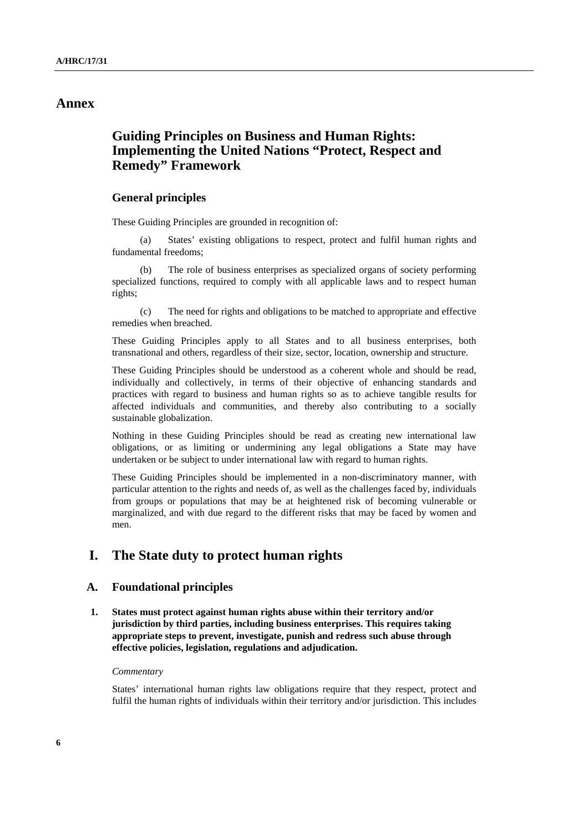# **Annex**

# **Guiding Principles on Business and Human Rights: Implementing the United Nations "Protect, Respect and Remedy" Framework**

## **General principles**

These Guiding Principles are grounded in recognition of:

(a) States' existing obligations to respect, protect and fulfil human rights and fundamental freedoms;

(b) The role of business enterprises as specialized organs of society performing specialized functions, required to comply with all applicable laws and to respect human rights;

(c) The need for rights and obligations to be matched to appropriate and effective remedies when breached.

These Guiding Principles apply to all States and to all business enterprises, both transnational and others, regardless of their size, sector, location, ownership and structure.

These Guiding Principles should be understood as a coherent whole and should be read, individually and collectively, in terms of their objective of enhancing standards and practices with regard to business and human rights so as to achieve tangible results for affected individuals and communities, and thereby also contributing to a socially sustainable globalization.

Nothing in these Guiding Principles should be read as creating new international law obligations, or as limiting or undermining any legal obligations a State may have undertaken or be subject to under international law with regard to human rights.

These Guiding Principles should be implemented in a non-discriminatory manner, with particular attention to the rights and needs of, as well as the challenges faced by, individuals from groups or populations that may be at heightened risk of becoming vulnerable or marginalized, and with due regard to the different risks that may be faced by women and men.

# **I. The State duty to protect human rights**

## **A. Foundational principles**

 **1. States must protect against human rights abuse within their territory and/or jurisdiction by third parties, including business enterprises. This requires taking appropriate steps to prevent, investigate, punish and redress such abuse through effective policies, legislation, regulations and adjudication.** 

#### *Commentary*

States' international human rights law obligations require that they respect, protect and fulfil the human rights of individuals within their territory and/or jurisdiction. This includes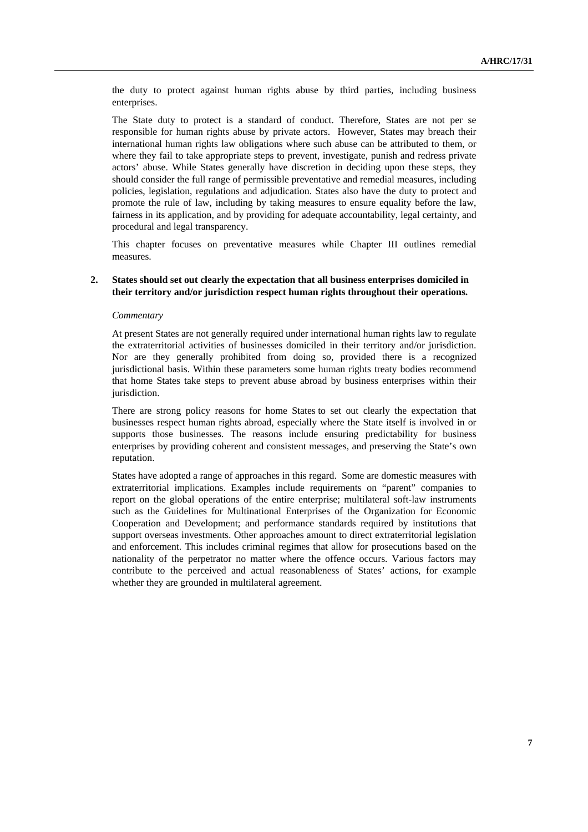the duty to protect against human rights abuse by third parties, including business enterprises.

The State duty to protect is a standard of conduct. Therefore, States are not per se responsible for human rights abuse by private actors. However, States may breach their international human rights law obligations where such abuse can be attributed to them, or where they fail to take appropriate steps to prevent, investigate, punish and redress private actors' abuse. While States generally have discretion in deciding upon these steps, they should consider the full range of permissible preventative and remedial measures, including policies, legislation, regulations and adjudication. States also have the duty to protect and promote the rule of law, including by taking measures to ensure equality before the law, fairness in its application, and by providing for adequate accountability, legal certainty, and procedural and legal transparency.

This chapter focuses on preventative measures while Chapter III outlines remedial measures.

## **2. States should set out clearly the expectation that all business enterprises domiciled in their territory and/or jurisdiction respect human rights throughout their operations.**

#### *Commentary*

At present States are not generally required under international human rights law to regulate the extraterritorial activities of businesses domiciled in their territory and/or jurisdiction. Nor are they generally prohibited from doing so, provided there is a recognized jurisdictional basis. Within these parameters some human rights treaty bodies recommend that home States take steps to prevent abuse abroad by business enterprises within their jurisdiction.

There are strong policy reasons for home States to set out clearly the expectation that businesses respect human rights abroad, especially where the State itself is involved in or supports those businesses. The reasons include ensuring predictability for business enterprises by providing coherent and consistent messages, and preserving the State's own reputation.

States have adopted a range of approaches in this regard. Some are domestic measures with extraterritorial implications. Examples include requirements on "parent" companies to report on the global operations of the entire enterprise; multilateral soft-law instruments such as the Guidelines for Multinational Enterprises of the Organization for Economic Cooperation and Development; and performance standards required by institutions that support overseas investments. Other approaches amount to direct extraterritorial legislation and enforcement. This includes criminal regimes that allow for prosecutions based on the nationality of the perpetrator no matter where the offence occurs. Various factors may contribute to the perceived and actual reasonableness of States' actions, for example whether they are grounded in multilateral agreement.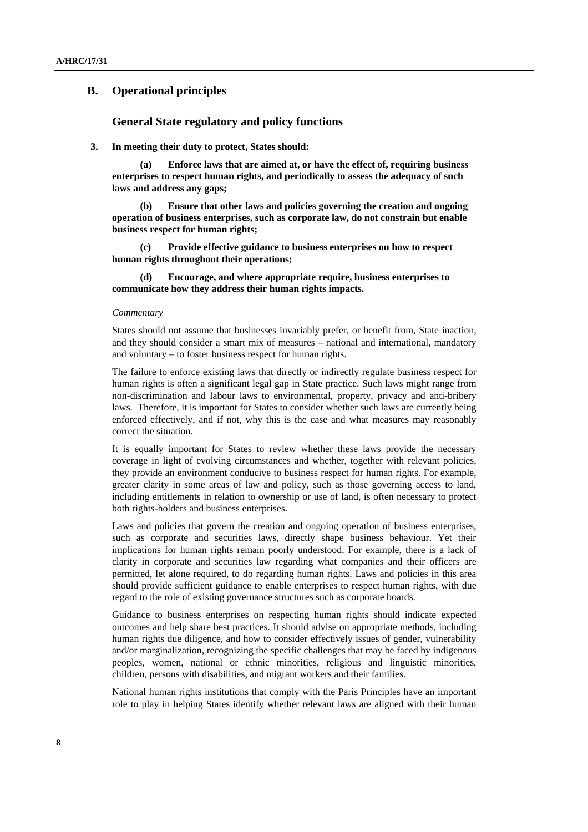## **B. Operational principles**

#### **General State regulatory and policy functions**

 **3. In meeting their duty to protect, States should:** 

 **(a) Enforce laws that are aimed at, or have the effect of, requiring business enterprises to respect human rights, and periodically to assess the adequacy of such laws and address any gaps;** 

 **(b) Ensure that other laws and policies governing the creation and ongoing operation of business enterprises, such as corporate law, do not constrain but enable business respect for human rights;** 

 **(c) Provide effective guidance to business enterprises on how to respect human rights throughout their operations;** 

 **(d) Encourage, and where appropriate require, business enterprises to communicate how they address their human rights impacts.** 

#### *Commentary*

States should not assume that businesses invariably prefer, or benefit from, State inaction, and they should consider a smart mix of measures – national and international, mandatory and voluntary – to foster business respect for human rights.

The failure to enforce existing laws that directly or indirectly regulate business respect for human rights is often a significant legal gap in State practice. Such laws might range from non-discrimination and labour laws to environmental, property, privacy and anti-bribery laws. Therefore, it is important for States to consider whether such laws are currently being enforced effectively, and if not, why this is the case and what measures may reasonably correct the situation.

It is equally important for States to review whether these laws provide the necessary coverage in light of evolving circumstances and whether, together with relevant policies, they provide an environment conducive to business respect for human rights. For example, greater clarity in some areas of law and policy, such as those governing access to land, including entitlements in relation to ownership or use of land, is often necessary to protect both rights-holders and business enterprises.

Laws and policies that govern the creation and ongoing operation of business enterprises, such as corporate and securities laws, directly shape business behaviour. Yet their implications for human rights remain poorly understood. For example, there is a lack of clarity in corporate and securities law regarding what companies and their officers are permitted, let alone required, to do regarding human rights. Laws and policies in this area should provide sufficient guidance to enable enterprises to respect human rights, with due regard to the role of existing governance structures such as corporate boards.

Guidance to business enterprises on respecting human rights should indicate expected outcomes and help share best practices. It should advise on appropriate methods, including human rights due diligence, and how to consider effectively issues of gender, vulnerability and/or marginalization, recognizing the specific challenges that may be faced by indigenous peoples, women, national or ethnic minorities, religious and linguistic minorities, children, persons with disabilities, and migrant workers and their families.

National human rights institutions that comply with the Paris Principles have an important role to play in helping States identify whether relevant laws are aligned with their human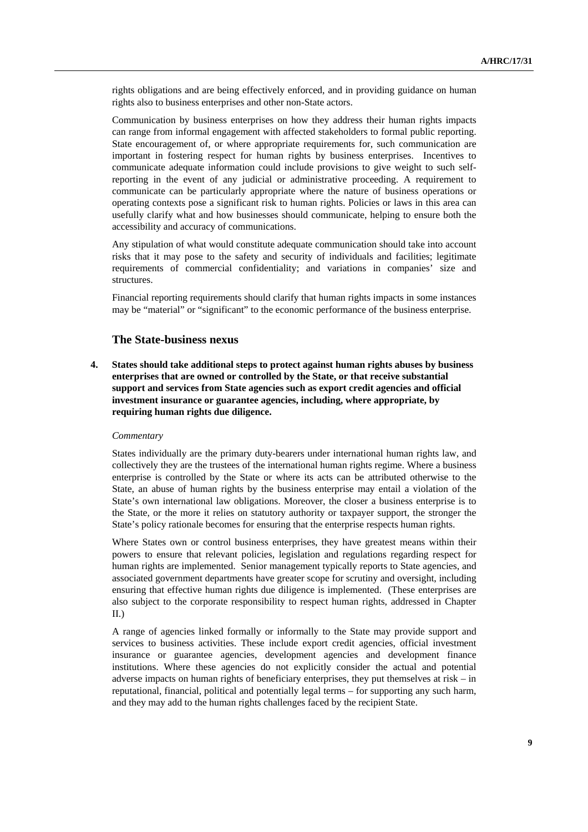rights obligations and are being effectively enforced, and in providing guidance on human rights also to business enterprises and other non-State actors.

Communication by business enterprises on how they address their human rights impacts can range from informal engagement with affected stakeholders to formal public reporting. State encouragement of, or where appropriate requirements for, such communication are important in fostering respect for human rights by business enterprises. Incentives to communicate adequate information could include provisions to give weight to such selfreporting in the event of any judicial or administrative proceeding. A requirement to communicate can be particularly appropriate where the nature of business operations or operating contexts pose a significant risk to human rights. Policies or laws in this area can usefully clarify what and how businesses should communicate, helping to ensure both the accessibility and accuracy of communications.

Any stipulation of what would constitute adequate communication should take into account risks that it may pose to the safety and security of individuals and facilities; legitimate requirements of commercial confidentiality; and variations in companies' size and structures.

Financial reporting requirements should clarify that human rights impacts in some instances may be "material" or "significant" to the economic performance of the business enterprise.

## **The State-business nexus**

 **4. States should take additional steps to protect against human rights abuses by business enterprises that are owned or controlled by the State, or that receive substantial support and services from State agencies such as export credit agencies and official investment insurance or guarantee agencies, including, where appropriate, by requiring human rights due diligence.** 

#### *Commentary*

States individually are the primary duty-bearers under international human rights law, and collectively they are the trustees of the international human rights regime. Where a business enterprise is controlled by the State or where its acts can be attributed otherwise to the State, an abuse of human rights by the business enterprise may entail a violation of the State's own international law obligations. Moreover, the closer a business enterprise is to the State, or the more it relies on statutory authority or taxpayer support, the stronger the State's policy rationale becomes for ensuring that the enterprise respects human rights.

Where States own or control business enterprises, they have greatest means within their powers to ensure that relevant policies, legislation and regulations regarding respect for human rights are implemented. Senior management typically reports to State agencies, and associated government departments have greater scope for scrutiny and oversight, including ensuring that effective human rights due diligence is implemented. (These enterprises are also subject to the corporate responsibility to respect human rights, addressed in Chapter II.)

A range of agencies linked formally or informally to the State may provide support and services to business activities. These include export credit agencies, official investment insurance or guarantee agencies, development agencies and development finance institutions. Where these agencies do not explicitly consider the actual and potential adverse impacts on human rights of beneficiary enterprises, they put themselves at risk – in reputational, financial, political and potentially legal terms – for supporting any such harm, and they may add to the human rights challenges faced by the recipient State.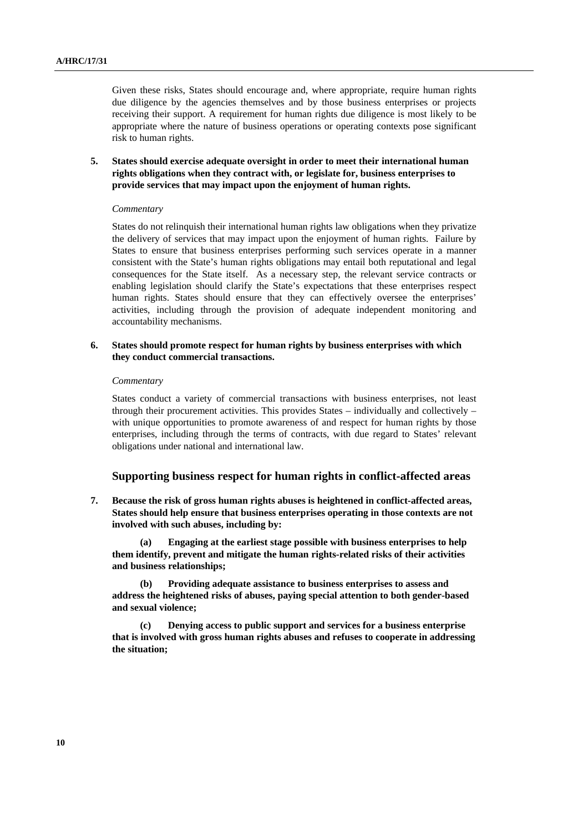Given these risks, States should encourage and, where appropriate, require human rights due diligence by the agencies themselves and by those business enterprises or projects receiving their support. A requirement for human rights due diligence is most likely to be appropriate where the nature of business operations or operating contexts pose significant risk to human rights.

 **5. States should exercise adequate oversight in order to meet their international human rights obligations when they contract with, or legislate for, business enterprises to provide services that may impact upon the enjoyment of human rights.** 

#### *Commentary*

States do not relinquish their international human rights law obligations when they privatize the delivery of services that may impact upon the enjoyment of human rights. Failure by States to ensure that business enterprises performing such services operate in a manner consistent with the State's human rights obligations may entail both reputational and legal consequences for the State itself. As a necessary step, the relevant service contracts or enabling legislation should clarify the State's expectations that these enterprises respect human rights. States should ensure that they can effectively oversee the enterprises' activities, including through the provision of adequate independent monitoring and accountability mechanisms.

## **6. States should promote respect for human rights by business enterprises with which they conduct commercial transactions.**

#### *Commentary*

States conduct a variety of commercial transactions with business enterprises, not least through their procurement activities. This provides States – individually and collectively – with unique opportunities to promote awareness of and respect for human rights by those enterprises, including through the terms of contracts, with due regard to States' relevant obligations under national and international law.

#### **Supporting business respect for human rights in conflict-affected areas**

 **7. Because the risk of gross human rights abuses is heightened in conflict-affected areas, States should help ensure that business enterprises operating in those contexts are not involved with such abuses, including by:** 

 **(a) Engaging at the earliest stage possible with business enterprises to help them identify, prevent and mitigate the human rights-related risks of their activities and business relationships;** 

 **(b) Providing adequate assistance to business enterprises to assess and address the heightened risks of abuses, paying special attention to both gender-based and sexual violence;** 

 **(c) Denying access to public support and services for a business enterprise that is involved with gross human rights abuses and refuses to cooperate in addressing the situation;**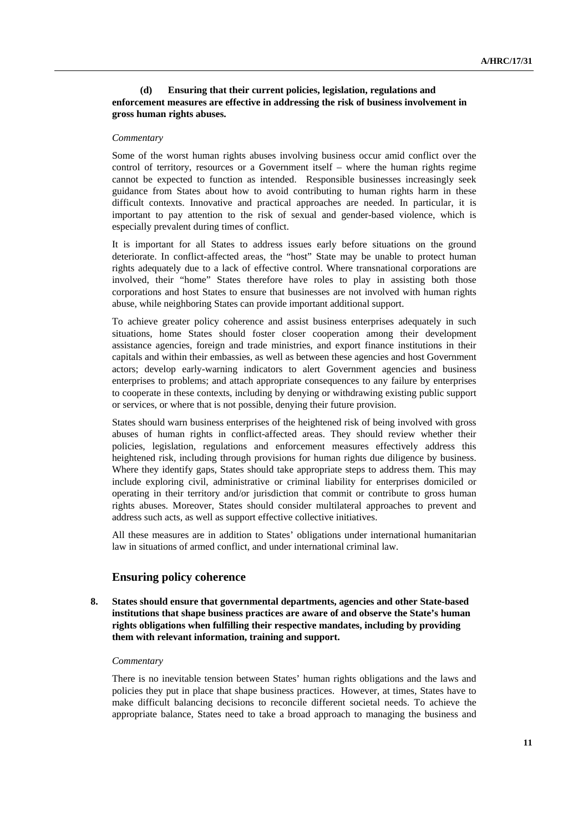## **(d) Ensuring that their current policies, legislation, regulations and enforcement measures are effective in addressing the risk of business involvement in gross human rights abuses.**

#### *Commentary*

Some of the worst human rights abuses involving business occur amid conflict over the control of territory, resources or a Government itself – where the human rights regime cannot be expected to function as intended. Responsible businesses increasingly seek guidance from States about how to avoid contributing to human rights harm in these difficult contexts. Innovative and practical approaches are needed. In particular, it is important to pay attention to the risk of sexual and gender-based violence, which is especially prevalent during times of conflict.

It is important for all States to address issues early before situations on the ground deteriorate. In conflict-affected areas, the "host" State may be unable to protect human rights adequately due to a lack of effective control. Where transnational corporations are involved, their "home" States therefore have roles to play in assisting both those corporations and host States to ensure that businesses are not involved with human rights abuse, while neighboring States can provide important additional support.

To achieve greater policy coherence and assist business enterprises adequately in such situations, home States should foster closer cooperation among their development assistance agencies, foreign and trade ministries, and export finance institutions in their capitals and within their embassies, as well as between these agencies and host Government actors; develop early-warning indicators to alert Government agencies and business enterprises to problems; and attach appropriate consequences to any failure by enterprises to cooperate in these contexts, including by denying or withdrawing existing public support or services, or where that is not possible, denying their future provision.

States should warn business enterprises of the heightened risk of being involved with gross abuses of human rights in conflict-affected areas. They should review whether their policies, legislation, regulations and enforcement measures effectively address this heightened risk, including through provisions for human rights due diligence by business. Where they identify gaps, States should take appropriate steps to address them. This may include exploring civil, administrative or criminal liability for enterprises domiciled or operating in their territory and/or jurisdiction that commit or contribute to gross human rights abuses. Moreover, States should consider multilateral approaches to prevent and address such acts, as well as support effective collective initiatives.

All these measures are in addition to States' obligations under international humanitarian law in situations of armed conflict, and under international criminal law.

## **Ensuring policy coherence**

## **8. States should ensure that governmental departments, agencies and other State-based institutions that shape business practices are aware of and observe the State's human rights obligations when fulfilling their respective mandates, including by providing them with relevant information, training and support.**

#### *Commentary*

There is no inevitable tension between States' human rights obligations and the laws and policies they put in place that shape business practices. However, at times, States have to make difficult balancing decisions to reconcile different societal needs. To achieve the appropriate balance, States need to take a broad approach to managing the business and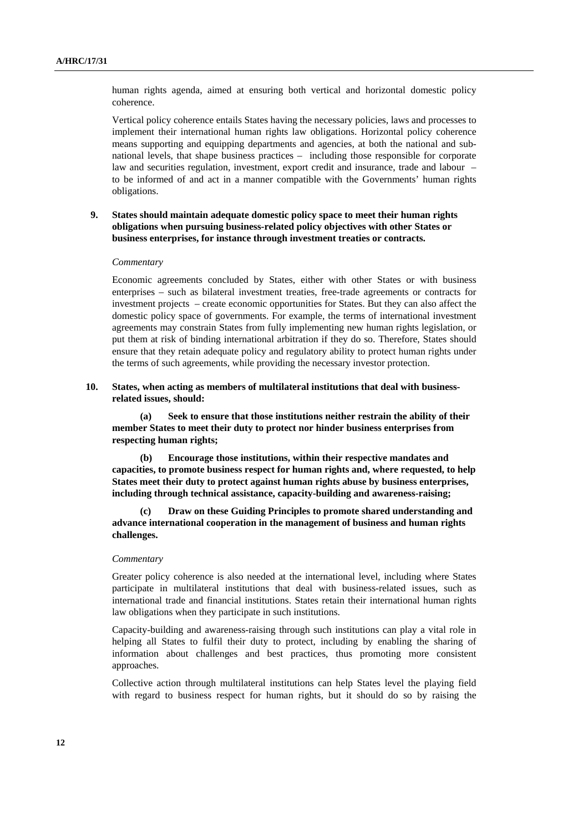human rights agenda, aimed at ensuring both vertical and horizontal domestic policy coherence.

Vertical policy coherence entails States having the necessary policies, laws and processes to implement their international human rights law obligations. Horizontal policy coherence means supporting and equipping departments and agencies, at both the national and subnational levels, that shape business practices – including those responsible for corporate law and securities regulation, investment, export credit and insurance, trade and labour – to be informed of and act in a manner compatible with the Governments' human rights obligations.

## **9. States should maintain adequate domestic policy space to meet their human rights obligations when pursuing business-related policy objectives with other States or business enterprises, for instance through investment treaties or contracts.**

#### *Commentary*

Economic agreements concluded by States, either with other States or with business enterprises – such as bilateral investment treaties, free-trade agreements or contracts for investment projects – create economic opportunities for States. But they can also affect the domestic policy space of governments. For example, the terms of international investment agreements may constrain States from fully implementing new human rights legislation, or put them at risk of binding international arbitration if they do so. Therefore, States should ensure that they retain adequate policy and regulatory ability to protect human rights under the terms of such agreements, while providing the necessary investor protection.

## **10. States, when acting as members of multilateral institutions that deal with businessrelated issues, should:**

 **(a) Seek to ensure that those institutions neither restrain the ability of their member States to meet their duty to protect nor hinder business enterprises from respecting human rights;** 

 **(b) Encourage those institutions, within their respective mandates and capacities, to promote business respect for human rights and, where requested, to help States meet their duty to protect against human rights abuse by business enterprises, including through technical assistance, capacity-building and awareness-raising;** 

 **(c) Draw on these Guiding Principles to promote shared understanding and advance international cooperation in the management of business and human rights challenges.** 

#### *Commentary*

Greater policy coherence is also needed at the international level, including where States participate in multilateral institutions that deal with business-related issues, such as international trade and financial institutions. States retain their international human rights law obligations when they participate in such institutions.

Capacity-building and awareness-raising through such institutions can play a vital role in helping all States to fulfil their duty to protect, including by enabling the sharing of information about challenges and best practices, thus promoting more consistent approaches.

Collective action through multilateral institutions can help States level the playing field with regard to business respect for human rights, but it should do so by raising the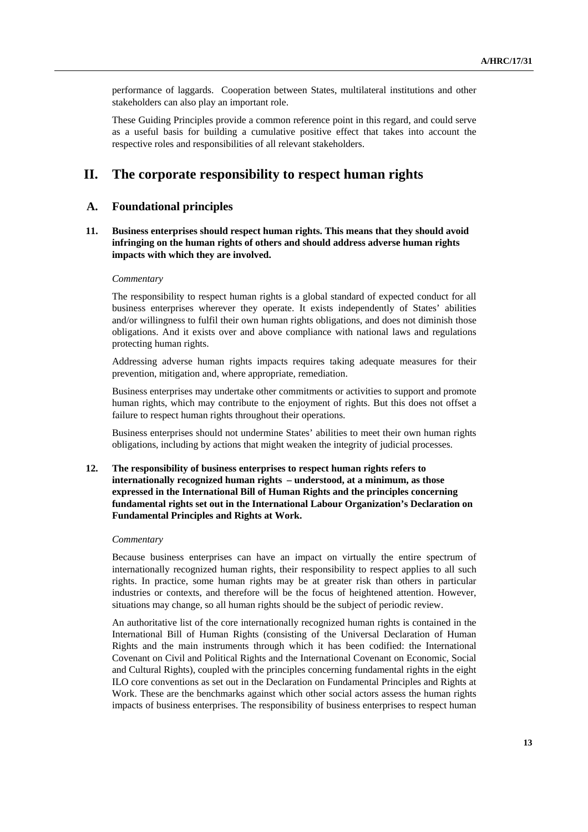performance of laggards. Cooperation between States, multilateral institutions and other stakeholders can also play an important role.

These Guiding Principles provide a common reference point in this regard, and could serve as a useful basis for building a cumulative positive effect that takes into account the respective roles and responsibilities of all relevant stakeholders.

# **II. The corporate responsibility to respect human rights**

## **A. Foundational principles**

## **11. Business enterprises should respect human rights. This means that they should avoid infringing on the human rights of others and should address adverse human rights impacts with which they are involved.**

## *Commentary*

The responsibility to respect human rights is a global standard of expected conduct for all business enterprises wherever they operate. It exists independently of States' abilities and/or willingness to fulfil their own human rights obligations, and does not diminish those obligations. And it exists over and above compliance with national laws and regulations protecting human rights.

Addressing adverse human rights impacts requires taking adequate measures for their prevention, mitigation and, where appropriate, remediation.

Business enterprises may undertake other commitments or activities to support and promote human rights, which may contribute to the enjoyment of rights. But this does not offset a failure to respect human rights throughout their operations.

Business enterprises should not undermine States' abilities to meet their own human rights obligations, including by actions that might weaken the integrity of judicial processes.

## **12. The responsibility of business enterprises to respect human rights refers to internationally recognized human rights – understood, at a minimum, as those expressed in the International Bill of Human Rights and the principles concerning fundamental rights set out in the International Labour Organization's Declaration on Fundamental Principles and Rights at Work.**

#### *Commentary*

Because business enterprises can have an impact on virtually the entire spectrum of internationally recognized human rights, their responsibility to respect applies to all such rights. In practice, some human rights may be at greater risk than others in particular industries or contexts, and therefore will be the focus of heightened attention. However, situations may change, so all human rights should be the subject of periodic review.

An authoritative list of the core internationally recognized human rights is contained in the International Bill of Human Rights (consisting of the Universal Declaration of Human Rights and the main instruments through which it has been codified: the International Covenant on Civil and Political Rights and the International Covenant on Economic, Social and Cultural Rights), coupled with the principles concerning fundamental rights in the eight ILO core conventions as set out in the Declaration on Fundamental Principles and Rights at Work. These are the benchmarks against which other social actors assess the human rights impacts of business enterprises. The responsibility of business enterprises to respect human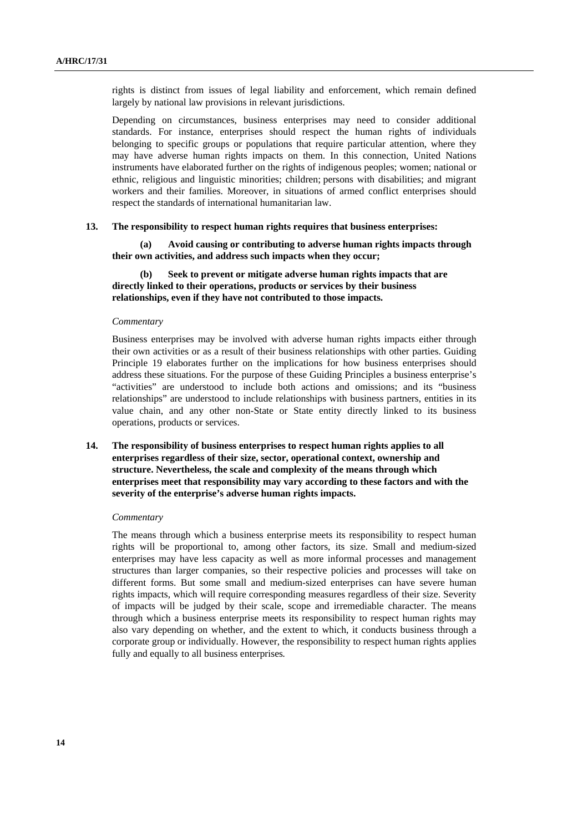rights is distinct from issues of legal liability and enforcement, which remain defined largely by national law provisions in relevant jurisdictions.

Depending on circumstances, business enterprises may need to consider additional standards. For instance, enterprises should respect the human rights of individuals belonging to specific groups or populations that require particular attention, where they may have adverse human rights impacts on them. In this connection, United Nations instruments have elaborated further on the rights of indigenous peoples; women; national or ethnic, religious and linguistic minorities; children; persons with disabilities; and migrant workers and their families. Moreover, in situations of armed conflict enterprises should respect the standards of international humanitarian law.

#### **13. The responsibility to respect human rights requires that business enterprises:**

 **(a) Avoid causing or contributing to adverse human rights impacts through their own activities, and address such impacts when they occur;** 

## **(b) Seek to prevent or mitigate adverse human rights impacts that are directly linked to their operations, products or services by their business relationships, even if they have not contributed to those impacts.**

#### *Commentary*

Business enterprises may be involved with adverse human rights impacts either through their own activities or as a result of their business relationships with other parties. Guiding Principle 19 elaborates further on the implications for how business enterprises should address these situations. For the purpose of these Guiding Principles a business enterprise's "activities" are understood to include both actions and omissions; and its "business relationships" are understood to include relationships with business partners, entities in its value chain, and any other non-State or State entity directly linked to its business operations, products or services.

 **14. The responsibility of business enterprises to respect human rights applies to all enterprises regardless of their size, sector, operational context, ownership and structure. Nevertheless, the scale and complexity of the means through which enterprises meet that responsibility may vary according to these factors and with the severity of the enterprise's adverse human rights impacts.** 

#### *Commentary*

The means through which a business enterprise meets its responsibility to respect human rights will be proportional to, among other factors, its size. Small and medium-sized enterprises may have less capacity as well as more informal processes and management structures than larger companies, so their respective policies and processes will take on different forms. But some small and medium-sized enterprises can have severe human rights impacts, which will require corresponding measures regardless of their size. Severity of impacts will be judged by their scale, scope and irremediable character. The means through which a business enterprise meets its responsibility to respect human rights may also vary depending on whether, and the extent to which, it conducts business through a corporate group or individually. However, the responsibility to respect human rights applies fully and equally to all business enterprises*.*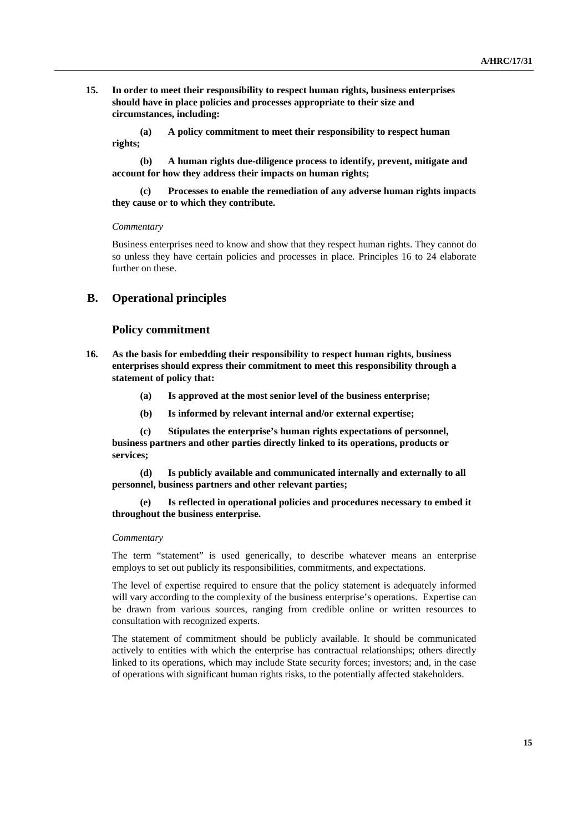**15. In order to meet their responsibility to respect human rights, business enterprises should have in place policies and processes appropriate to their size and circumstances, including:** 

 **(a) A policy commitment to meet their responsibility to respect human rights;** 

 **(b) A human rights due-diligence process to identify, prevent, mitigate and account for how they address their impacts on human rights;** 

**Processes to enable the remediation of any adverse human rights impacts they cause or to which they contribute.** 

#### *Commentary*

Business enterprises need to know and show that they respect human rights. They cannot do so unless they have certain policies and processes in place. Principles 16 to 24 elaborate further on these.

## **B. Operational principles**

## **Policy commitment**

- **16. As the basis for embedding their responsibility to respect human rights, business enterprises should express their commitment to meet this responsibility through a statement of policy that:** 
	- **(a) Is approved at the most senior level of the business enterprise;**
	- **(b) Is informed by relevant internal and/or external expertise;**

 **(c) Stipulates the enterprise's human rights expectations of personnel, business partners and other parties directly linked to its operations, products or services;** 

 **(d) Is publicly available and communicated internally and externally to all personnel, business partners and other relevant parties;** 

 **(e) Is reflected in operational policies and procedures necessary to embed it throughout the business enterprise.** 

#### *Commentary*

The term "statement" is used generically, to describe whatever means an enterprise employs to set out publicly its responsibilities, commitments, and expectations.

The level of expertise required to ensure that the policy statement is adequately informed will vary according to the complexity of the business enterprise's operations. Expertise can be drawn from various sources, ranging from credible online or written resources to consultation with recognized experts.

The statement of commitment should be publicly available. It should be communicated actively to entities with which the enterprise has contractual relationships; others directly linked to its operations, which may include State security forces; investors; and, in the case of operations with significant human rights risks, to the potentially affected stakeholders.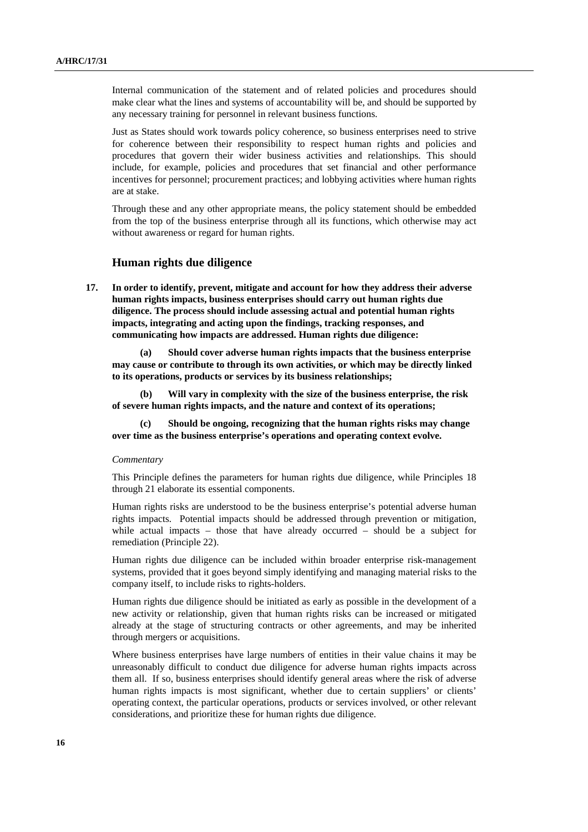Internal communication of the statement and of related policies and procedures should make clear what the lines and systems of accountability will be, and should be supported by any necessary training for personnel in relevant business functions.

Just as States should work towards policy coherence, so business enterprises need to strive for coherence between their responsibility to respect human rights and policies and procedures that govern their wider business activities and relationships. This should include, for example, policies and procedures that set financial and other performance incentives for personnel; procurement practices; and lobbying activities where human rights are at stake.

Through these and any other appropriate means, the policy statement should be embedded from the top of the business enterprise through all its functions, which otherwise may act without awareness or regard for human rights.

#### **Human rights due diligence**

 **17. In order to identify, prevent, mitigate and account for how they address their adverse human rights impacts, business enterprises should carry out human rights due diligence. The process should include assessing actual and potential human rights impacts, integrating and acting upon the findings, tracking responses, and communicating how impacts are addressed. Human rights due diligence:** 

**(Should cover adverse human rights impacts that the business enterprise may cause or contribute to through its own activities, or which may be directly linked to its operations, products or services by its business relationships;** 

 **(b) Will vary in complexity with the size of the business enterprise, the risk of severe human rights impacts, and the nature and context of its operations;** 

 **(c) Should be ongoing, recognizing that the human rights risks may change over time as the business enterprise's operations and operating context evolve.** 

#### *Commentary*

This Principle defines the parameters for human rights due diligence, while Principles 18 through 21 elaborate its essential components.

Human rights risks are understood to be the business enterprise's potential adverse human rights impacts. Potential impacts should be addressed through prevention or mitigation, while actual impacts – those that have already occurred – should be a subject for remediation (Principle 22).

Human rights due diligence can be included within broader enterprise risk-management systems, provided that it goes beyond simply identifying and managing material risks to the company itself, to include risks to rights-holders.

Human rights due diligence should be initiated as early as possible in the development of a new activity or relationship, given that human rights risks can be increased or mitigated already at the stage of structuring contracts or other agreements, and may be inherited through mergers or acquisitions.

Where business enterprises have large numbers of entities in their value chains it may be unreasonably difficult to conduct due diligence for adverse human rights impacts across them all. If so, business enterprises should identify general areas where the risk of adverse human rights impacts is most significant, whether due to certain suppliers' or clients' operating context, the particular operations, products or services involved, or other relevant considerations, and prioritize these for human rights due diligence.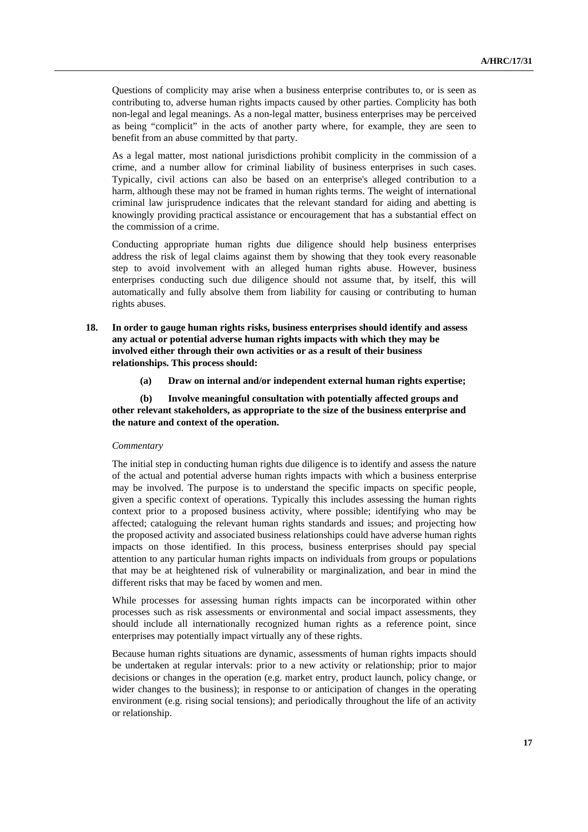Questions of complicity may arise when a business enterprise contributes to, or is seen as contributing to, adverse human rights impacts caused by other parties. Complicity has both non-legal and legal meanings. As a non-legal matter, business enterprises may be perceived as being "complicit" in the acts of another party where, for example, they are seen to benefit from an abuse committed by that party.

As a legal matter, most national jurisdictions prohibit complicity in the commission of a crime, and a number allow for criminal liability of business enterprises in such cases. Typically, civil actions can also be based on an enterprise's alleged contribution to a harm, although these may not be framed in human rights terms. The weight of international criminal law jurisprudence indicates that the relevant standard for aiding and abetting is knowingly providing practical assistance or encouragement that has a substantial effect on the commission of a crime.

Conducting appropriate human rights due diligence should help business enterprises address the risk of legal claims against them by showing that they took every reasonable step to avoid involvement with an alleged human rights abuse. However, business enterprises conducting such due diligence should not assume that, by itself, this will automatically and fully absolve them from liability for causing or contributing to human rights abuses.

- **18. In order to gauge human rights risks, business enterprises should identify and assess any actual or potential adverse human rights impacts with which they may be involved either through their own activities or as a result of their business relationships. This process should:** 
	- **(a) Draw on internal and/or independent external human rights expertise;**

 **(b) Involve meaningful consultation with potentially affected groups and other relevant stakeholders, as appropriate to the size of the business enterprise and the nature and context of the operation.** 

#### *Commentary*

The initial step in conducting human rights due diligence is to identify and assess the nature of the actual and potential adverse human rights impacts with which a business enterprise may be involved. The purpose is to understand the specific impacts on specific people, given a specific context of operations. Typically this includes assessing the human rights context prior to a proposed business activity, where possible; identifying who may be affected; cataloguing the relevant human rights standards and issues; and projecting how the proposed activity and associated business relationships could have adverse human rights impacts on those identified. In this process, business enterprises should pay special attention to any particular human rights impacts on individuals from groups or populations that may be at heightened risk of vulnerability or marginalization, and bear in mind the different risks that may be faced by women and men.

While processes for assessing human rights impacts can be incorporated within other processes such as risk assessments or environmental and social impact assessments, they should include all internationally recognized human rights as a reference point, since enterprises may potentially impact virtually any of these rights.

Because human rights situations are dynamic, assessments of human rights impacts should be undertaken at regular intervals: prior to a new activity or relationship; prior to major decisions or changes in the operation (e.g. market entry, product launch, policy change, or wider changes to the business); in response to or anticipation of changes in the operating environment (e.g. rising social tensions); and periodically throughout the life of an activity or relationship.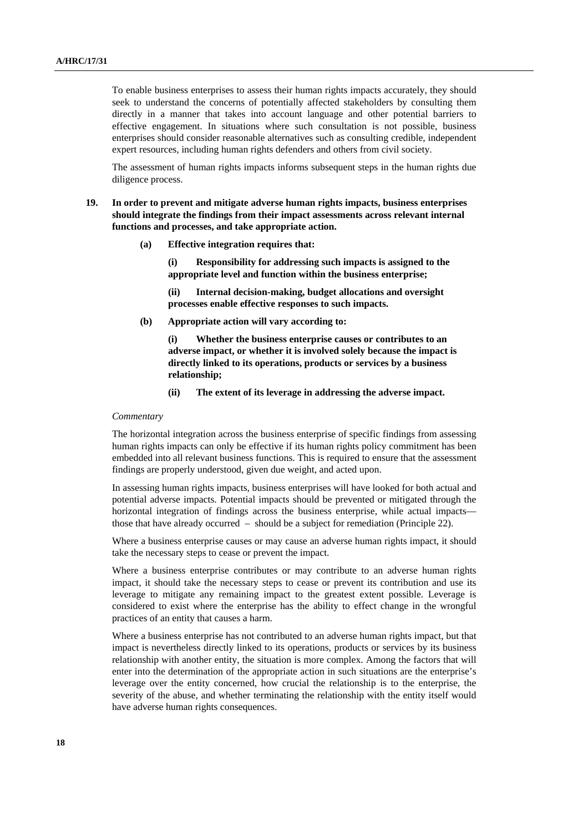To enable business enterprises to assess their human rights impacts accurately, they should seek to understand the concerns of potentially affected stakeholders by consulting them directly in a manner that takes into account language and other potential barriers to effective engagement. In situations where such consultation is not possible, business enterprises should consider reasonable alternatives such as consulting credible, independent expert resources, including human rights defenders and others from civil society.

The assessment of human rights impacts informs subsequent steps in the human rights due diligence process.

- **19. In order to prevent and mitigate adverse human rights impacts, business enterprises should integrate the findings from their impact assessments across relevant internal functions and processes, and take appropriate action.** 
	- **(a) Effective integration requires that:** 
		- **(i) Responsibility for addressing such impacts is assigned to the appropriate level and function within the business enterprise;**

 **(ii) Internal decision-making, budget allocations and oversight processes enable effective responses to such impacts.** 

 **(b) Appropriate action will vary according to:** 

 **(i) Whether the business enterprise causes or contributes to an adverse impact, or whether it is involved solely because the impact is directly linked to its operations, products or services by a business relationship;** 

 **(ii) The extent of its leverage in addressing the adverse impact.** 

#### *Commentary*

The horizontal integration across the business enterprise of specific findings from assessing human rights impacts can only be effective if its human rights policy commitment has been embedded into all relevant business functions. This is required to ensure that the assessment findings are properly understood, given due weight, and acted upon.

In assessing human rights impacts, business enterprises will have looked for both actual and potential adverse impacts. Potential impacts should be prevented or mitigated through the horizontal integration of findings across the business enterprise, while actual impacts those that have already occurred – should be a subject for remediation (Principle 22).

Where a business enterprise causes or may cause an adverse human rights impact, it should take the necessary steps to cease or prevent the impact.

Where a business enterprise contributes or may contribute to an adverse human rights impact, it should take the necessary steps to cease or prevent its contribution and use its leverage to mitigate any remaining impact to the greatest extent possible. Leverage is considered to exist where the enterprise has the ability to effect change in the wrongful practices of an entity that causes a harm.

Where a business enterprise has not contributed to an adverse human rights impact, but that impact is nevertheless directly linked to its operations, products or services by its business relationship with another entity, the situation is more complex. Among the factors that will enter into the determination of the appropriate action in such situations are the enterprise's leverage over the entity concerned, how crucial the relationship is to the enterprise, the severity of the abuse, and whether terminating the relationship with the entity itself would have adverse human rights consequences.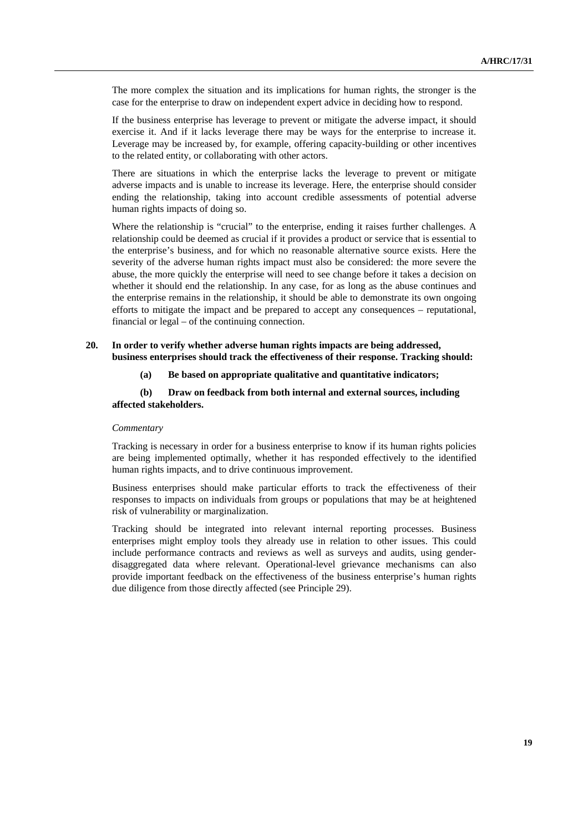The more complex the situation and its implications for human rights, the stronger is the case for the enterprise to draw on independent expert advice in deciding how to respond.

If the business enterprise has leverage to prevent or mitigate the adverse impact, it should exercise it. And if it lacks leverage there may be ways for the enterprise to increase it. Leverage may be increased by, for example, offering capacity-building or other incentives to the related entity, or collaborating with other actors.

There are situations in which the enterprise lacks the leverage to prevent or mitigate adverse impacts and is unable to increase its leverage. Here, the enterprise should consider ending the relationship, taking into account credible assessments of potential adverse human rights impacts of doing so.

Where the relationship is "crucial" to the enterprise, ending it raises further challenges. A relationship could be deemed as crucial if it provides a product or service that is essential to the enterprise's business, and for which no reasonable alternative source exists. Here the severity of the adverse human rights impact must also be considered: the more severe the abuse, the more quickly the enterprise will need to see change before it takes a decision on whether it should end the relationship. In any case, for as long as the abuse continues and the enterprise remains in the relationship, it should be able to demonstrate its own ongoing efforts to mitigate the impact and be prepared to accept any consequences – reputational, financial or legal – of the continuing connection.

### **20. In order to verify whether adverse human rights impacts are being addressed, business enterprises should track the effectiveness of their response. Tracking should:**

 **(a) Be based on appropriate qualitative and quantitative indicators;** 

## **(b) Draw on feedback from both internal and external sources, including affected stakeholders.**

#### *Commentary*

Tracking is necessary in order for a business enterprise to know if its human rights policies are being implemented optimally, whether it has responded effectively to the identified human rights impacts, and to drive continuous improvement.

Business enterprises should make particular efforts to track the effectiveness of their responses to impacts on individuals from groups or populations that may be at heightened risk of vulnerability or marginalization.

Tracking should be integrated into relevant internal reporting processes. Business enterprises might employ tools they already use in relation to other issues. This could include performance contracts and reviews as well as surveys and audits, using genderdisaggregated data where relevant. Operational-level grievance mechanisms can also provide important feedback on the effectiveness of the business enterprise's human rights due diligence from those directly affected (see Principle 29).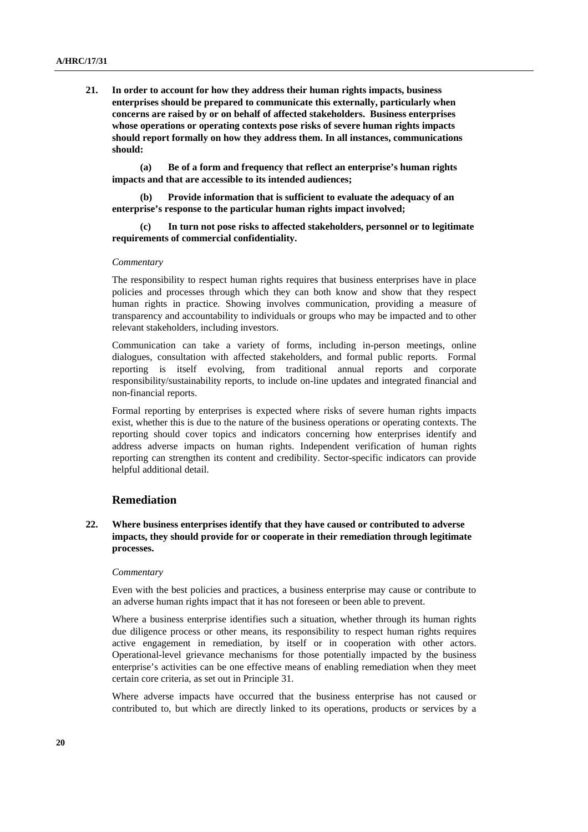**21. In order to account for how they address their human rights impacts, business enterprises should be prepared to communicate this externally, particularly when concerns are raised by or on behalf of affected stakeholders. Business enterprises whose operations or operating contexts pose risks of severe human rights impacts should report formally on how they address them. In all instances, communications should:** 

 **(a) Be of a form and frequency that reflect an enterprise's human rights impacts and that are accessible to its intended audiences;** 

**Provide information that is sufficient to evaluate the adequacy of an enterprise's response to the particular human rights impact involved;** 

## **(c) In turn not pose risks to affected stakeholders, personnel or to legitimate requirements of commercial confidentiality.**

#### *Commentary*

The responsibility to respect human rights requires that business enterprises have in place policies and processes through which they can both know and show that they respect human rights in practice. Showing involves communication, providing a measure of transparency and accountability to individuals or groups who may be impacted and to other relevant stakeholders, including investors.

Communication can take a variety of forms, including in-person meetings, online dialogues, consultation with affected stakeholders, and formal public reports. Formal reporting is itself evolving, from traditional annual reports and corporate responsibility/sustainability reports, to include on-line updates and integrated financial and non-financial reports.

Formal reporting by enterprises is expected where risks of severe human rights impacts exist, whether this is due to the nature of the business operations or operating contexts. The reporting should cover topics and indicators concerning how enterprises identify and address adverse impacts on human rights. Independent verification of human rights reporting can strengthen its content and credibility. Sector-specific indicators can provide helpful additional detail.

## **Remediation**

## **22. Where business enterprises identify that they have caused or contributed to adverse impacts, they should provide for or cooperate in their remediation through legitimate processes.**

#### *Commentary*

Even with the best policies and practices, a business enterprise may cause or contribute to an adverse human rights impact that it has not foreseen or been able to prevent.

Where a business enterprise identifies such a situation, whether through its human rights due diligence process or other means, its responsibility to respect human rights requires active engagement in remediation, by itself or in cooperation with other actors. Operational-level grievance mechanisms for those potentially impacted by the business enterprise's activities can be one effective means of enabling remediation when they meet certain core criteria, as set out in Principle 31.

Where adverse impacts have occurred that the business enterprise has not caused or contributed to, but which are directly linked to its operations, products or services by a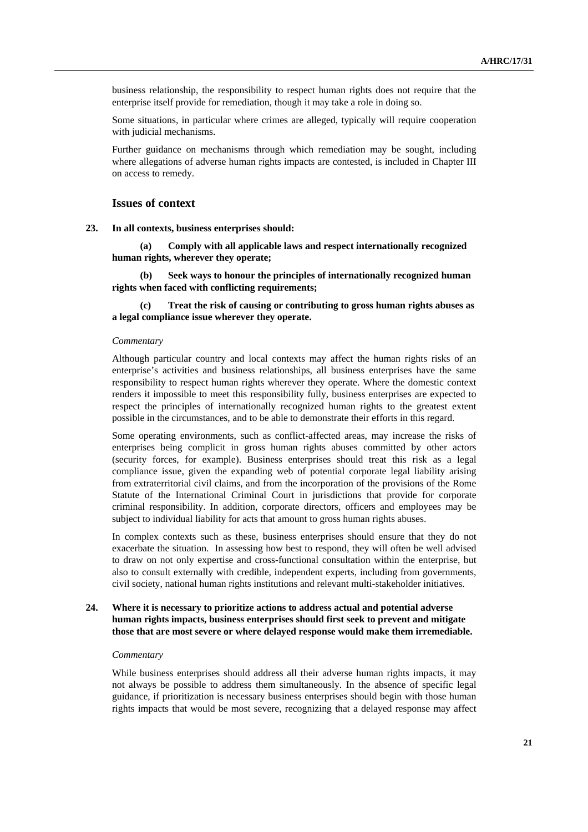business relationship, the responsibility to respect human rights does not require that the enterprise itself provide for remediation, though it may take a role in doing so.

Some situations, in particular where crimes are alleged, typically will require cooperation with judicial mechanisms.

Further guidance on mechanisms through which remediation may be sought, including where allegations of adverse human rights impacts are contested, is included in Chapter III on access to remedy.

## **Issues of context**

 **23. In all contexts, business enterprises should:** 

 **(a) Comply with all applicable laws and respect internationally recognized human rights, wherever they operate;** 

 **(b) Seek ways to honour the principles of internationally recognized human rights when faced with conflicting requirements;** 

Treat the risk of causing or contributing to gross human rights abuses as **a legal compliance issue wherever they operate.** 

#### *Commentary*

Although particular country and local contexts may affect the human rights risks of an enterprise's activities and business relationships, all business enterprises have the same responsibility to respect human rights wherever they operate. Where the domestic context renders it impossible to meet this responsibility fully, business enterprises are expected to respect the principles of internationally recognized human rights to the greatest extent possible in the circumstances, and to be able to demonstrate their efforts in this regard.

Some operating environments, such as conflict-affected areas, may increase the risks of enterprises being complicit in gross human rights abuses committed by other actors (security forces, for example). Business enterprises should treat this risk as a legal compliance issue, given the expanding web of potential corporate legal liability arising from extraterritorial civil claims, and from the incorporation of the provisions of the Rome Statute of the International Criminal Court in jurisdictions that provide for corporate criminal responsibility. In addition, corporate directors, officers and employees may be subject to individual liability for acts that amount to gross human rights abuses.

In complex contexts such as these, business enterprises should ensure that they do not exacerbate the situation. In assessing how best to respond, they will often be well advised to draw on not only expertise and cross-functional consultation within the enterprise, but also to consult externally with credible, independent experts, including from governments, civil society, national human rights institutions and relevant multi-stakeholder initiatives.

## **24. Where it is necessary to prioritize actions to address actual and potential adverse human rights impacts, business enterprises should first seek to prevent and mitigate those that are most severe or where delayed response would make them irremediable.**

## *Commentary*

While business enterprises should address all their adverse human rights impacts, it may not always be possible to address them simultaneously. In the absence of specific legal guidance, if prioritization is necessary business enterprises should begin with those human rights impacts that would be most severe, recognizing that a delayed response may affect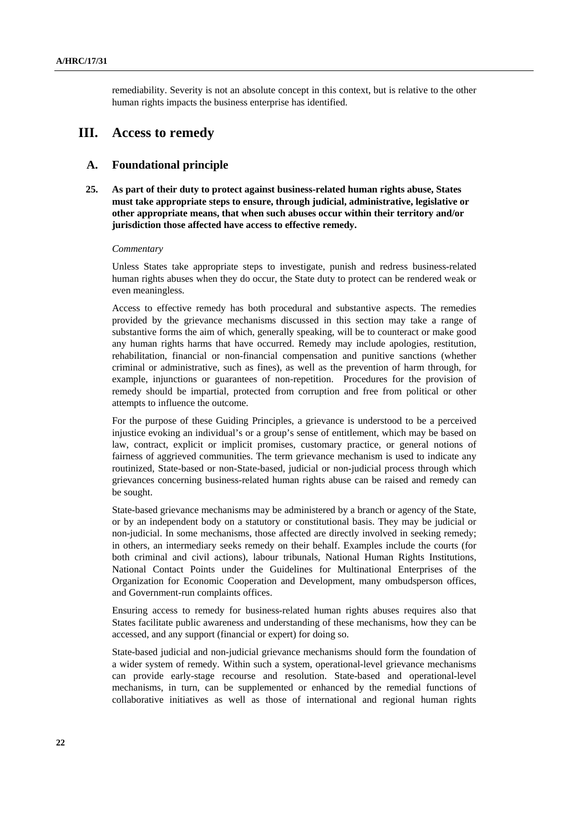remediability. Severity is not an absolute concept in this context, but is relative to the other human rights impacts the business enterprise has identified.

# **III. Access to remedy**

## **A. Foundational principle**

## **25. As part of their duty to protect against business-related human rights abuse, States must take appropriate steps to ensure, through judicial, administrative, legislative or other appropriate means, that when such abuses occur within their territory and/or jurisdiction those affected have access to effective remedy.**

#### *Commentary*

Unless States take appropriate steps to investigate, punish and redress business-related human rights abuses when they do occur, the State duty to protect can be rendered weak or even meaningless.

Access to effective remedy has both procedural and substantive aspects. The remedies provided by the grievance mechanisms discussed in this section may take a range of substantive forms the aim of which, generally speaking, will be to counteract or make good any human rights harms that have occurred. Remedy may include apologies, restitution, rehabilitation, financial or non-financial compensation and punitive sanctions (whether criminal or administrative, such as fines), as well as the prevention of harm through, for example, injunctions or guarantees of non-repetition. Procedures for the provision of remedy should be impartial, protected from corruption and free from political or other attempts to influence the outcome.

For the purpose of these Guiding Principles, a grievance is understood to be a perceived injustice evoking an individual's or a group's sense of entitlement, which may be based on law, contract, explicit or implicit promises, customary practice, or general notions of fairness of aggrieved communities. The term grievance mechanism is used to indicate any routinized, State-based or non-State-based, judicial or non-judicial process through which grievances concerning business-related human rights abuse can be raised and remedy can be sought.

State-based grievance mechanisms may be administered by a branch or agency of the State, or by an independent body on a statutory or constitutional basis. They may be judicial or non-judicial. In some mechanisms, those affected are directly involved in seeking remedy; in others, an intermediary seeks remedy on their behalf. Examples include the courts (for both criminal and civil actions), labour tribunals, National Human Rights Institutions, National Contact Points under the Guidelines for Multinational Enterprises of the Organization for Economic Cooperation and Development, many ombudsperson offices, and Government-run complaints offices.

Ensuring access to remedy for business-related human rights abuses requires also that States facilitate public awareness and understanding of these mechanisms, how they can be accessed, and any support (financial or expert) for doing so.

State-based judicial and non-judicial grievance mechanisms should form the foundation of a wider system of remedy. Within such a system, operational-level grievance mechanisms can provide early-stage recourse and resolution. State-based and operational-level mechanisms, in turn, can be supplemented or enhanced by the remedial functions of collaborative initiatives as well as those of international and regional human rights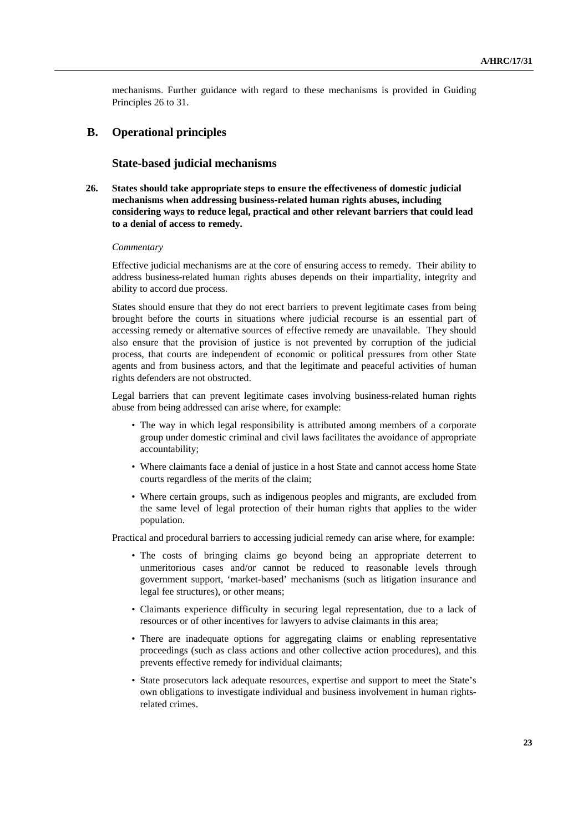mechanisms. Further guidance with regard to these mechanisms is provided in Guiding Principles 26 to 31.

## **B. Operational principles**

## **State-based judicial mechanisms**

 **26. States should take appropriate steps to ensure the effectiveness of domestic judicial mechanisms when addressing business-related human rights abuses, including considering ways to reduce legal, practical and other relevant barriers that could lead to a denial of access to remedy.** 

#### *Commentary*

Effective judicial mechanisms are at the core of ensuring access to remedy. Their ability to address business-related human rights abuses depends on their impartiality, integrity and ability to accord due process.

States should ensure that they do not erect barriers to prevent legitimate cases from being brought before the courts in situations where judicial recourse is an essential part of accessing remedy or alternative sources of effective remedy are unavailable. They should also ensure that the provision of justice is not prevented by corruption of the judicial process, that courts are independent of economic or political pressures from other State agents and from business actors, and that the legitimate and peaceful activities of human rights defenders are not obstructed.

Legal barriers that can prevent legitimate cases involving business-related human rights abuse from being addressed can arise where, for example:

- The way in which legal responsibility is attributed among members of a corporate group under domestic criminal and civil laws facilitates the avoidance of appropriate accountability;
- Where claimants face a denial of justice in a host State and cannot access home State courts regardless of the merits of the claim;
- Where certain groups, such as indigenous peoples and migrants, are excluded from the same level of legal protection of their human rights that applies to the wider population.

Practical and procedural barriers to accessing judicial remedy can arise where, for example:

- The costs of bringing claims go beyond being an appropriate deterrent to unmeritorious cases and/or cannot be reduced to reasonable levels through government support, 'market-based' mechanisms (such as litigation insurance and legal fee structures), or other means;
- Claimants experience difficulty in securing legal representation, due to a lack of resources or of other incentives for lawyers to advise claimants in this area;
- There are inadequate options for aggregating claims or enabling representative proceedings (such as class actions and other collective action procedures), and this prevents effective remedy for individual claimants;
- State prosecutors lack adequate resources, expertise and support to meet the State's own obligations to investigate individual and business involvement in human rightsrelated crimes.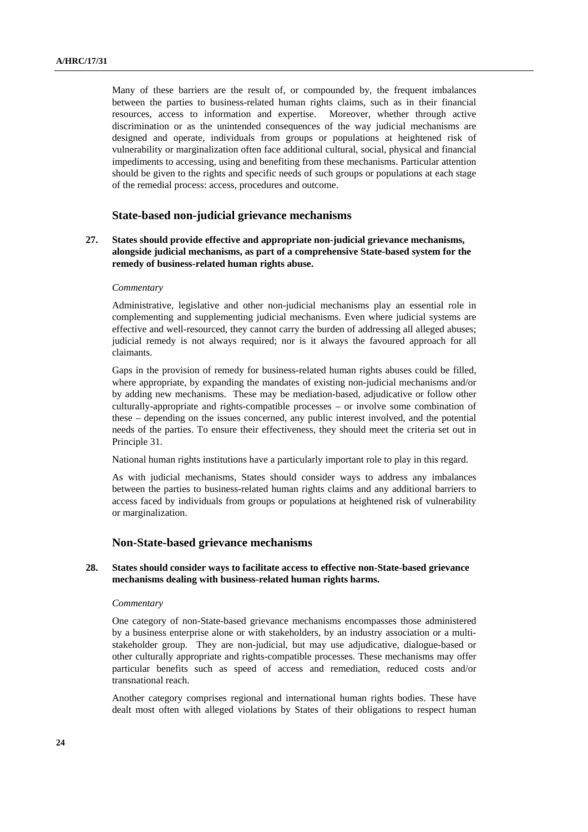Many of these barriers are the result of, or compounded by, the frequent imbalances between the parties to business-related human rights claims, such as in their financial resources, access to information and expertise. Moreover, whether through active discrimination or as the unintended consequences of the way judicial mechanisms are designed and operate, individuals from groups or populations at heightened risk of vulnerability or marginalization often face additional cultural, social, physical and financial impediments to accessing, using and benefiting from these mechanisms. Particular attention should be given to the rights and specific needs of such groups or populations at each stage of the remedial process: access, procedures and outcome.

## **State-based non-judicial grievance mechanisms**

 **27. States should provide effective and appropriate non-judicial grievance mechanisms, alongside judicial mechanisms, as part of a comprehensive State-based system for the remedy of business-related human rights abuse.** 

#### *Commentary*

Administrative, legislative and other non-judicial mechanisms play an essential role in complementing and supplementing judicial mechanisms. Even where judicial systems are effective and well-resourced, they cannot carry the burden of addressing all alleged abuses; judicial remedy is not always required; nor is it always the favoured approach for all claimants.

Gaps in the provision of remedy for business-related human rights abuses could be filled, where appropriate, by expanding the mandates of existing non-judicial mechanisms and/or by adding new mechanisms. These may be mediation-based, adjudicative or follow other culturally-appropriate and rights-compatible processes – or involve some combination of these – depending on the issues concerned, any public interest involved, and the potential needs of the parties. To ensure their effectiveness, they should meet the criteria set out in Principle 31.

National human rights institutions have a particularly important role to play in this regard.

As with judicial mechanisms, States should consider ways to address any imbalances between the parties to business-related human rights claims and any additional barriers to access faced by individuals from groups or populations at heightened risk of vulnerability or marginalization.

#### **Non-State-based grievance mechanisms**

## **28. States should consider ways to facilitate access to effective non-State-based grievance mechanisms dealing with business-related human rights harms.**

#### *Commentary*

One category of non-State-based grievance mechanisms encompasses those administered by a business enterprise alone or with stakeholders, by an industry association or a multistakeholder group. They are non-judicial, but may use adjudicative, dialogue-based or other culturally appropriate and rights-compatible processes. These mechanisms may offer particular benefits such as speed of access and remediation, reduced costs and/or transnational reach.

Another category comprises regional and international human rights bodies. These have dealt most often with alleged violations by States of their obligations to respect human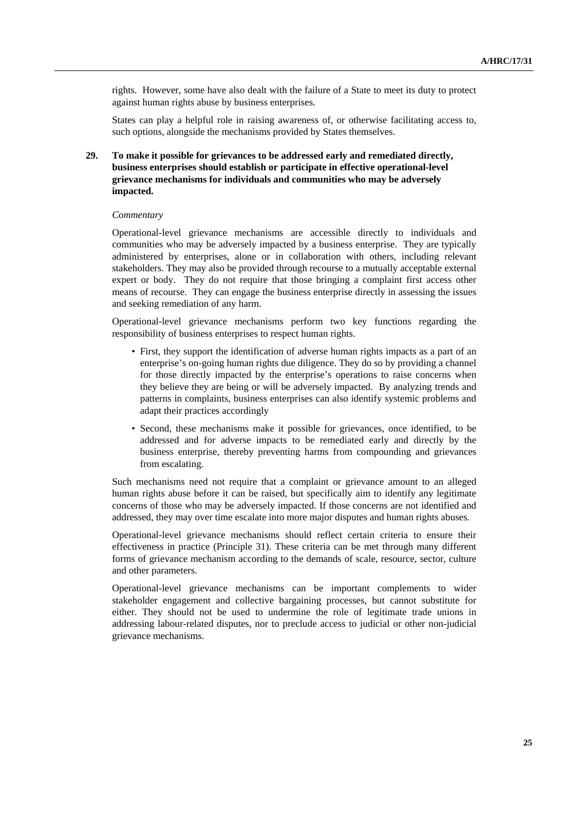rights. However, some have also dealt with the failure of a State to meet its duty to protect against human rights abuse by business enterprises.

States can play a helpful role in raising awareness of, or otherwise facilitating access to, such options, alongside the mechanisms provided by States themselves.

## **29. To make it possible for grievances to be addressed early and remediated directly, business enterprises should establish or participate in effective operational-level grievance mechanisms for individuals and communities who may be adversely impacted.**

#### *Commentary*

Operational-level grievance mechanisms are accessible directly to individuals and communities who may be adversely impacted by a business enterprise. They are typically administered by enterprises, alone or in collaboration with others, including relevant stakeholders. They may also be provided through recourse to a mutually acceptable external expert or body. They do not require that those bringing a complaint first access other means of recourse. They can engage the business enterprise directly in assessing the issues and seeking remediation of any harm.

Operational-level grievance mechanisms perform two key functions regarding the responsibility of business enterprises to respect human rights.

- First, they support the identification of adverse human rights impacts as a part of an enterprise's on-going human rights due diligence. They do so by providing a channel for those directly impacted by the enterprise's operations to raise concerns when they believe they are being or will be adversely impacted. By analyzing trends and patterns in complaints, business enterprises can also identify systemic problems and adapt their practices accordingly
- Second, these mechanisms make it possible for grievances, once identified, to be addressed and for adverse impacts to be remediated early and directly by the business enterprise, thereby preventing harms from compounding and grievances from escalating.

Such mechanisms need not require that a complaint or grievance amount to an alleged human rights abuse before it can be raised, but specifically aim to identify any legitimate concerns of those who may be adversely impacted. If those concerns are not identified and addressed, they may over time escalate into more major disputes and human rights abuses.

Operational-level grievance mechanisms should reflect certain criteria to ensure their effectiveness in practice (Principle 31). These criteria can be met through many different forms of grievance mechanism according to the demands of scale, resource, sector, culture and other parameters.

Operational-level grievance mechanisms can be important complements to wider stakeholder engagement and collective bargaining processes, but cannot substitute for either. They should not be used to undermine the role of legitimate trade unions in addressing labour-related disputes, nor to preclude access to judicial or other non-judicial grievance mechanisms.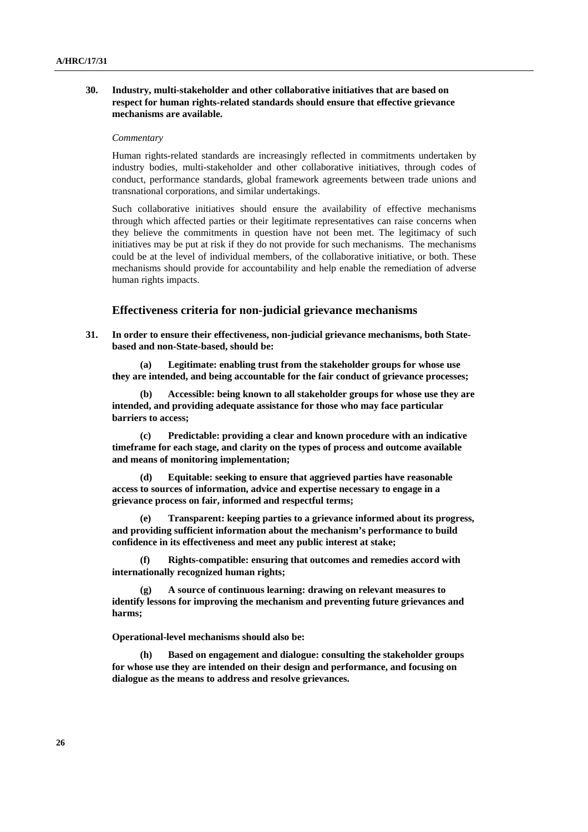## **30. Industry, multi-stakeholder and other collaborative initiatives that are based on respect for human rights-related standards should ensure that effective grievance mechanisms are available.**

#### *Commentary*

Human rights-related standards are increasingly reflected in commitments undertaken by industry bodies, multi-stakeholder and other collaborative initiatives, through codes of conduct, performance standards, global framework agreements between trade unions and transnational corporations, and similar undertakings.

Such collaborative initiatives should ensure the availability of effective mechanisms through which affected parties or their legitimate representatives can raise concerns when they believe the commitments in question have not been met. The legitimacy of such initiatives may be put at risk if they do not provide for such mechanisms. The mechanisms could be at the level of individual members, of the collaborative initiative, or both. These mechanisms should provide for accountability and help enable the remediation of adverse human rights impacts.

## **Effectiveness criteria for non-judicial grievance mechanisms**

 **31. In order to ensure their effectiveness, non-judicial grievance mechanisms, both Statebased and non-State-based, should be:** 

 **(a) Legitimate: enabling trust from the stakeholder groups for whose use they are intended, and being accountable for the fair conduct of grievance processes;** 

Accessible: being known to all stakeholder groups for whose use they are **intended, and providing adequate assistance for those who may face particular barriers to access;** 

 **(c) Predictable: providing a clear and known procedure with an indicative timeframe for each stage, and clarity on the types of process and outcome available and means of monitoring implementation;** 

 **(d) Equitable: seeking to ensure that aggrieved parties have reasonable access to sources of information, advice and expertise necessary to engage in a grievance process on fair, informed and respectful terms;** 

 **(e) Transparent: keeping parties to a grievance informed about its progress, and providing sufficient information about the mechanism's performance to build confidence in its effectiveness and meet any public interest at stake;** 

 **(f) Rights-compatible: ensuring that outcomes and remedies accord with internationally recognized human rights;** 

 **(g) A source of continuous learning: drawing on relevant measures to identify lessons for improving the mechanism and preventing future grievances and harms;** 

 **Operational-level mechanisms should also be:** 

 **(h) Based on engagement and dialogue: consulting the stakeholder groups for whose use they are intended on their design and performance, and focusing on dialogue as the means to address and resolve grievances.**